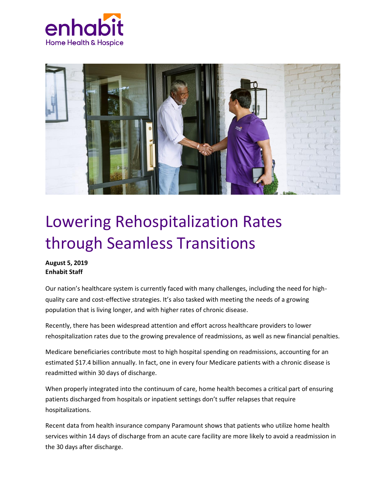



## Lowering Rehospitalization Rates through Seamless Transitions

## **August 5, 2019 Enhabit Staff**

Our nation's healthcare system is currently faced with many challenges, including the need for highquality care and cost-effective strategies. It's also tasked with meeting the needs of a growing population that is living longer, and with higher rates of chronic disease.

Recently, there has been widespread attention and effort across healthcare providers to lower rehospitalization rates due to the growing prevalence of readmissions, as well as new financial penalties.

Medicare beneficiaries contribute most to high hospital spending on readmissions, accounting for an estimated \$17.4 billion annually. In fact, one in every four Medicare patients with a chronic disease is readmitted within 30 days of discharge.

When properly integrated into the continuum of care, home health becomes a critical part of ensuring patients discharged from hospitals or inpatient settings don't suffer relapses that require hospitalizations.

Recent data from health insurance company Paramount shows that patients who utilize home health services within 14 days of discharge from an acute care facility are more likely to avoid a readmission in the 30 days after discharge.